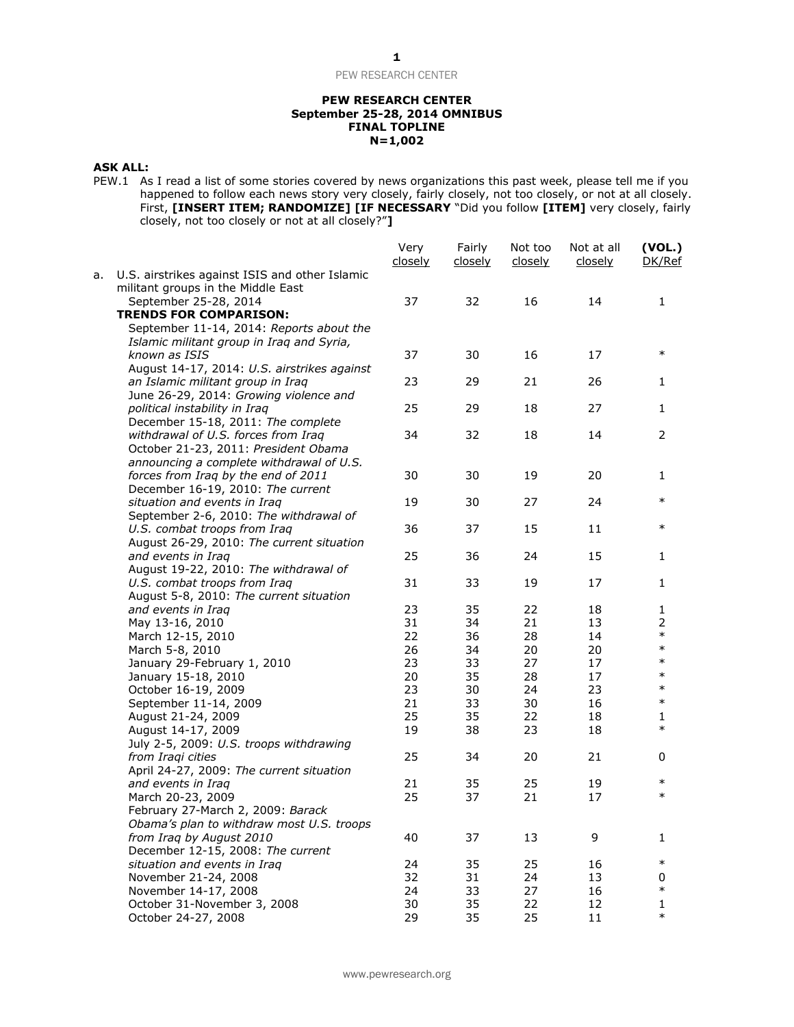### **PEW RESEARCH CENTER September 25-28, 2014 OMNIBUS FINAL TOPLINE N=1,002**

### **ASK ALL:**

PEW.1 As I read a list of some stories covered by news organizations this past week, please tell me if you happened to follow each news story very closely, fairly closely, not too closely, or not at all closely. First, **[INSERT ITEM; RANDOMIZE] [IF NECESSARY** "Did you follow **[ITEM]** very closely, fairly closely, not too closely or not at all closely?"**]**

|    |                                                                                      | Very<br>closely | Fairly<br>closely | Not too<br>closely | Not at all<br>closely | (VOL.)<br>DK/Ref |
|----|--------------------------------------------------------------------------------------|-----------------|-------------------|--------------------|-----------------------|------------------|
| а. | U.S. airstrikes against ISIS and other Islamic<br>militant groups in the Middle East |                 |                   |                    |                       |                  |
|    | September 25-28, 2014                                                                | 37              | 32                | 16                 | 14                    | $\mathbf{1}$     |
|    | <b>TRENDS FOR COMPARISON:</b>                                                        |                 |                   |                    |                       |                  |
|    | September 11-14, 2014: Reports about the                                             |                 |                   |                    |                       |                  |
|    | Islamic militant group in Iraq and Syria,                                            |                 |                   |                    |                       |                  |
|    | known as ISIS                                                                        | 37              | 30                | 16                 | 17                    | $\ast$           |
|    | August 14-17, 2014: U.S. airstrikes against                                          |                 |                   |                    |                       |                  |
|    | an Islamic militant group in Iraq                                                    | 23              | 29                | 21                 | 26                    | 1                |
|    | June 26-29, 2014: Growing violence and                                               |                 |                   |                    |                       |                  |
|    | political instability in Iraq                                                        | 25              | 29                | 18                 | 27                    | 1                |
|    | December 15-18, 2011: The complete                                                   |                 |                   |                    |                       |                  |
|    | withdrawal of U.S. forces from Iraq                                                  | 34              | 32                | 18                 | 14                    | 2                |
|    | October 21-23, 2011: President Obama                                                 |                 |                   |                    |                       |                  |
|    | announcing a complete withdrawal of U.S.                                             | 30              | 30                | 19                 | 20                    | 1                |
|    | forces from Iraq by the end of 2011<br>December 16-19, 2010: The current             |                 |                   |                    |                       |                  |
|    | situation and events in Iraq                                                         | 19              | 30                | 27                 | 24                    | $\ast$           |
|    | September 2-6, 2010: The withdrawal of                                               |                 |                   |                    |                       |                  |
|    | U.S. combat troops from Iraq                                                         | 36              | 37                | 15                 | 11                    | $\ast$           |
|    | August 26-29, 2010: The current situation                                            |                 |                   |                    |                       |                  |
|    | and events in Iraq                                                                   | 25              | 36                | 24                 | 15                    | 1                |
|    | August 19-22, 2010: The withdrawal of                                                |                 |                   |                    |                       |                  |
|    | U.S. combat troops from Iraq                                                         | 31              | 33                | 19                 | 17                    | 1                |
|    | August 5-8, 2010: The current situation                                              |                 |                   |                    |                       |                  |
|    | and events in Iraq                                                                   | 23              | 35                | 22                 | 18                    | 1                |
|    | May 13-16, 2010                                                                      | 31              | 34                | 21                 | 13                    | $\overline{2}$   |
|    | March 12-15, 2010                                                                    | 22              | 36                | 28                 | 14                    | $\ast$           |
|    | March 5-8, 2010                                                                      | 26              | 34                | 20                 | 20                    | $\ast$           |
|    | January 29-February 1, 2010                                                          | 23              | 33                | 27                 | 17                    | $\ast$           |
|    | January 15-18, 2010                                                                  | 20              | 35                | 28                 | 17                    | $\ast$           |
|    | October 16-19, 2009                                                                  | 23              | 30                | 24                 | 23                    | $\ast$           |
|    | September 11-14, 2009                                                                | 21              | 33                | 30                 | 16                    | $\ast$           |
|    | August 21-24, 2009                                                                   | 25              | 35                | 22                 | 18                    | 1                |
|    | August 14-17, 2009                                                                   | 19              | 38                | 23                 | 18                    | $\ast$           |
|    | July 2-5, 2009: U.S. troops withdrawing                                              |                 |                   |                    |                       |                  |
|    | from Iraqi cities                                                                    | 25              | 34                | 20                 | 21                    | 0                |
|    | April 24-27, 2009: The current situation                                             |                 |                   |                    |                       |                  |
|    | and events in Iraq                                                                   | 21              | 35                | 25                 | 19                    | $\ast$           |
|    | March 20-23, 2009                                                                    | 25              | 37                | 21                 | 17                    | $\ast$           |
|    | February 27-March 2, 2009: Barack                                                    |                 |                   |                    |                       |                  |
|    | Obama's plan to withdraw most U.S. troops                                            |                 |                   |                    |                       |                  |
|    | from Iraq by August 2010                                                             | 40              | 37                | 13                 | 9                     | 1                |
|    | December 12-15, 2008: The current                                                    |                 |                   |                    |                       |                  |
|    | situation and events in Iraq                                                         | 24              | 35                | 25                 | 16                    | $\ast$           |
|    | November 21-24, 2008                                                                 | 32              | 31                | 24                 | 13                    | 0                |
|    | November 14-17, 2008                                                                 | 24              | 33                | 27                 | 16                    | $\ast$           |
|    | October 31-November 3, 2008                                                          | 30              | 35                | 22                 | 12                    | 1                |
|    | October 24-27, 2008                                                                  | 29              | 35                | 25                 | 11                    | $\ast$           |
|    |                                                                                      |                 |                   |                    |                       |                  |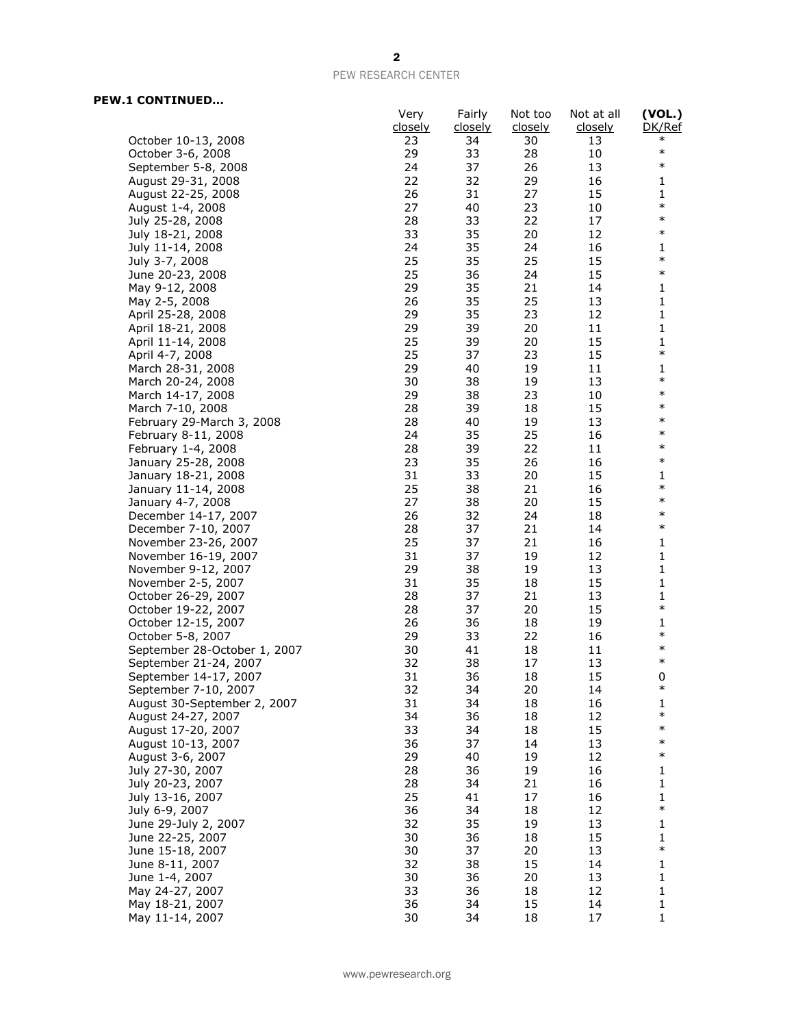# **PEW.1 CONTINUED…**

|                              | Very<br><u>closely</u> | Fairly<br><u>closely</u> | Not too<br>closely | Not at all<br><u>closely</u> | (VOL.)<br>DK/Ref |
|------------------------------|------------------------|--------------------------|--------------------|------------------------------|------------------|
| October 10-13, 2008          | 23                     | 34                       | 30                 | 13                           | $\ast$           |
| October 3-6, 2008            | 29                     | 33                       | 28                 | 10                           | $\ast$           |
|                              | 24                     | 37                       | 26                 | 13                           | $\ast$           |
| September 5-8, 2008          |                        |                          |                    |                              |                  |
| August 29-31, 2008           | 22                     | 32                       | 29                 | 16                           | 1                |
| August 22-25, 2008           | 26                     | 31                       | 27                 | 15                           | 1<br>$\ast$      |
| August 1-4, 2008             | 27                     | 40                       | 23                 | 10                           | $\ast$           |
| July 25-28, 2008             | 28                     | 33                       | 22                 | 17                           | $\ast$           |
| July 18-21, 2008             | 33                     | 35                       | 20                 | 12                           |                  |
| July 11-14, 2008             | 24                     | 35                       | 24                 | 16                           | 1<br>$\ast$      |
| July 3-7, 2008               | 25                     | 35                       | 25                 | 15                           |                  |
| June 20-23, 2008             | 25                     | 36                       | 24                 | 15                           | $\ast$           |
| May 9-12, 2008               | 29                     | 35                       | 21                 | 14                           | 1                |
| May 2-5, 2008                | 26                     | 35                       | 25                 | 13                           | 1                |
| April 25-28, 2008            | 29                     | 35                       | 23                 | 12                           | 1                |
| April 18-21, 2008            | 29                     | 39                       | 20                 | 11                           | $\mathbf{1}$     |
| April 11-14, 2008            | 25                     | 39                       | 20                 | 15                           | $\mathbf{1}$     |
| April 4-7, 2008              | 25                     | 37                       | 23                 | 15                           | $\ast$           |
| March 28-31, 2008            | 29                     | 40                       | 19                 | 11                           | 1                |
| March 20-24, 2008            | 30                     | 38                       | 19                 | 13                           | $\ast$           |
| March 14-17, 2008            | 29                     | 38                       | 23                 | 10                           | $\ast$           |
| March 7-10, 2008             | 28                     | 39                       | 18                 | 15                           | $\ast$           |
| February 29-March 3, 2008    | 28                     | 40                       | 19                 | 13                           | $\ast$           |
| February 8-11, 2008          | 24                     | 35                       | 25                 | 16                           | $\ast$           |
| February 1-4, 2008           | 28                     | 39                       | 22                 | 11                           | $\ast$           |
| January 25-28, 2008          | 23                     | 35                       | 26                 | 16                           | $\ast$           |
| January 18-21, 2008          | 31                     | 33                       | 20                 | 15                           | 1                |
| January 11-14, 2008          | 25                     | 38                       | 21                 | 16                           | $\ast$           |
| January 4-7, 2008            | 27                     | 38                       | 20                 | 15                           | $\ast$           |
| December 14-17, 2007         | 26                     | 32                       | 24                 | 18                           | $\ast$           |
| December 7-10, 2007          | 28                     | 37                       | 21                 | 14                           | $\ast$           |
| November 23-26, 2007         | 25                     | 37                       | 21                 | 16                           | 1                |
| November 16-19, 2007         | 31                     | 37                       | 19                 | 12                           | 1                |
| November 9-12, 2007          | 29                     | 38                       | 19                 | 13                           | $\mathbf{1}$     |
| November 2-5, 2007           | 31                     | 35                       | 18                 | 15                           | $\mathbf{1}$     |
| October 26-29, 2007          | 28                     | 37                       | 21                 | 13                           | 1                |
| October 19-22, 2007          | 28                     | 37                       | 20                 | 15                           | $\ast$           |
| October 12-15, 2007          | 26                     | 36                       | 18                 | 19                           | 1                |
| October 5-8, 2007            | 29                     | 33                       | 22                 | 16                           | $\ast$           |
| September 28-October 1, 2007 | 30                     | 41                       | 18                 | 11                           | $\ast$           |
| September 21-24, 2007        | 32                     | 38                       | 17                 | 13                           | $\ast$           |
| September 14-17, 2007        | 31                     | 36                       | 18                 | 15                           | 0                |
| September 7-10, 2007         | 32                     | 34                       | 20                 | 14                           | $\ast$           |
| August 30-September 2, 2007  | 31                     | 34                       | 18                 | 16                           | 1                |
| August 24-27, 2007           | 34                     | 36                       | 18                 | 12                           | $\ast$           |
| August 17-20, 2007           | 33                     | 34                       | 18                 | 15                           | $\ast$           |
| August 10-13, 2007           | 36                     | 37                       | 14                 | 13                           | $\ast$           |
| August 3-6, 2007             | 29                     | 40                       | 19                 | 12                           | $\ast$           |
| July 27-30, 2007             | 28                     | 36                       | 19                 | 16                           | 1                |
| July 20-23, 2007             | 28                     | 34                       | 21                 | 16                           | $\mathbf{1}$     |
| July 13-16, 2007             | 25                     | 41                       | 17                 | 16                           | 1                |
| July 6-9, 2007               | 36                     | 34                       | 18                 | 12                           | $\ast$           |
| June 29-July 2, 2007         | 32                     | 35                       | 19                 | 13                           | $\mathbf{1}$     |
| June 22-25, 2007             | 30                     | 36                       | 18                 | 15                           | 1                |
| June 15-18, 2007             | 30                     | 37                       | 20                 | 13                           | $\ast$           |
| June 8-11, 2007              | 32                     | 38                       | 15                 | 14                           | $\mathbf{1}$     |
| June 1-4, 2007               | 30                     | 36                       | 20                 | 13                           | $\mathbf 1$      |
| May 24-27, 2007              | 33                     | 36                       | 18                 | 12                           | 1                |
| May 18-21, 2007              | 36                     | 34                       | 15                 | 14                           | $\mathbf{1}$     |
| May 11-14, 2007              | 30                     | 34                       | 18                 | 17                           | 1                |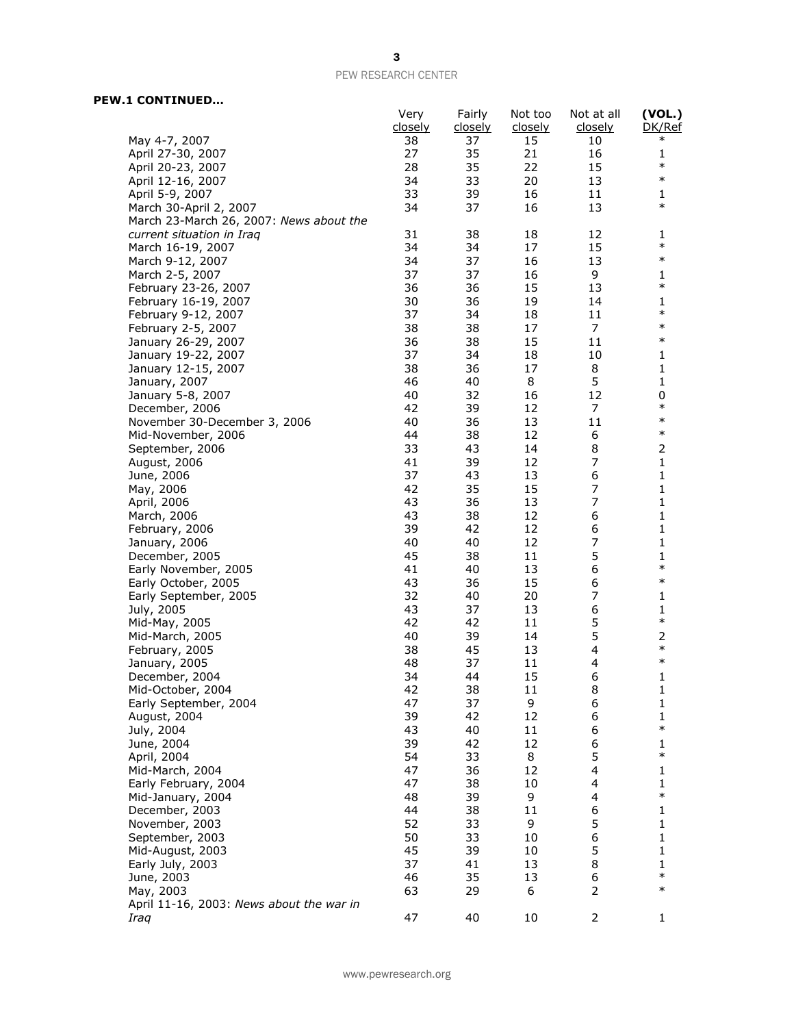## **PEW.1 CONTINUED…**

|                                              | Very<br>closely | Fairly<br><u>closely</u> | Not too<br><u>closely</u> | Not at all<br><u>closely</u> | (VOL.)<br>DK/Ref |
|----------------------------------------------|-----------------|--------------------------|---------------------------|------------------------------|------------------|
| May 4-7, 2007                                | 38              | 37                       | 15                        | 10                           | $\ast$           |
| April 27-30, 2007                            | 27              | 35                       | 21                        | 16                           | 1                |
| April 20-23, 2007                            | 28              | 35                       | 22                        | 15                           | $\ast$           |
| April 12-16, 2007                            | 34              | 33                       | 20                        | 13                           | $\ast$           |
| April 5-9, 2007                              | 33              | 39                       | 16                        | 11                           | 1                |
| March 30-April 2, 2007                       | 34              | 37                       | 16                        | 13                           | $\ast$           |
| March 23-March 26, 2007: News about the      |                 |                          |                           |                              |                  |
| current situation in Iraq                    | 31              | 38                       | 18                        | 12                           | 1                |
| March 16-19, 2007                            | 34              | 34                       | 17                        | 15                           | $\ast$<br>$\ast$ |
| March 9-12, 2007                             | 34              | 37                       | 16                        | 13                           |                  |
| March 2-5, 2007                              | 37              | 37                       | 16<br>15                  | 9<br>13                      | 1<br>$\ast$      |
| February 23-26, 2007<br>February 16-19, 2007 | 36<br>30        | 36<br>36                 | 19                        | 14                           | 1                |
| February 9-12, 2007                          | 37              | 34                       | 18                        | 11                           | $\ast$           |
| February 2-5, 2007                           | 38              | 38                       | 17                        | 7                            | $\ast$           |
| January 26-29, 2007                          | 36              | 38                       | 15                        | 11                           | $\ast$           |
| January 19-22, 2007                          | 37              | 34                       | 18                        | 10                           | 1                |
| January 12-15, 2007                          | 38              | 36                       | 17                        | 8                            | 1                |
| January, 2007                                | 46              | 40                       | 8                         | 5                            | 1                |
| January 5-8, 2007                            | 40              | 32                       | 16                        | 12                           | 0                |
| December, 2006                               | 42              | 39                       | 12                        | 7                            | $\ast$           |
| November 30-December 3, 2006                 | 40              | 36                       | 13                        | 11                           | $\ast$           |
| Mid-November, 2006                           | 44              | 38                       | 12                        | 6                            | $\ast$           |
| September, 2006                              | 33              | 43                       | 14                        | 8                            | 2                |
| August, 2006                                 | 41              | 39                       | 12                        | 7                            | 1                |
| June, 2006                                   | 37              | 43                       | 13                        | 6                            | 1                |
| May, 2006                                    | 42              | 35                       | 15                        | $\overline{7}$               | 1                |
| April, 2006                                  | 43              | 36                       | 13                        | 7                            | 1                |
| March, 2006                                  | 43              | 38                       | 12                        | 6                            | 1                |
| February, 2006                               | 39<br>40        | 42<br>40                 | 12<br>12                  | 6<br>$\overline{7}$          | 1<br>1           |
| January, 2006                                | 45              | 38                       | 11                        | 5                            | 1                |
| December, 2005<br>Early November, 2005       | 41              | 40                       | 13                        | 6                            | $\ast$           |
| Early October, 2005                          | 43              | 36                       | 15                        | 6                            | $\ast$           |
| Early September, 2005                        | 32              | 40                       | 20                        | 7                            | 1                |
| July, 2005                                   | 43              | 37                       | 13                        | 6                            | 1                |
| Mid-May, 2005                                | 42              | 42                       | 11                        | 5                            | $\ast$           |
| Mid-March, 2005                              | 40              | 39                       | 14                        | 5                            | 2                |
| February, 2005                               | 38              | 45                       | 13                        | 4                            | $\ast$           |
| January, 2005                                | 48              | 37                       | 11                        | 4                            | $\ast$           |
| December, 2004                               | 34              | 44                       | 15                        | 6                            | 1                |
| Mid-October, 2004                            | 42              | 38                       | 11                        | 8                            | 1                |
| Early September, 2004                        | 47              | 37                       | 9                         | 6                            | 1                |
| August, 2004                                 | 39              | 42                       | 12                        | 6                            | 1<br>$\ast$      |
| July, 2004                                   | 43              | 40                       | 11                        | 6                            |                  |
| June, 2004                                   | 39              | 42                       | 12                        | 6<br>5                       | 1<br>$\ast$      |
| April, 2004                                  | 54<br>47        | 33                       | 8<br>12                   | $\overline{4}$               |                  |
| Mid-March, 2004<br>Early February, 2004      | 47              | 36<br>38                 | 10                        | 4                            | 1<br>1           |
| Mid-January, 2004                            | 48              | 39                       | 9                         | 4                            | $\ast$           |
| December, 2003                               | 44              | 38                       | 11                        | 6                            | 1                |
| November, 2003                               | 52              | 33                       | 9                         | 5                            | 1                |
| September, 2003                              | 50              | 33                       | 10                        | 6                            | 1                |
| Mid-August, 2003                             | 45              | 39                       | 10                        | 5                            | 1                |
| Early July, 2003                             | 37              | 41                       | 13                        | 8                            | 1                |
| June, 2003                                   | 46              | 35                       | 13                        | 6                            | $\ast$           |
| May, 2003                                    | 63              | 29                       | 6                         | $\overline{2}$               | $\ast$           |
| April 11-16, 2003: News about the war in     |                 |                          |                           |                              |                  |
| Iraq                                         | 47              | 40                       | 10                        | $\overline{2}$               | 1                |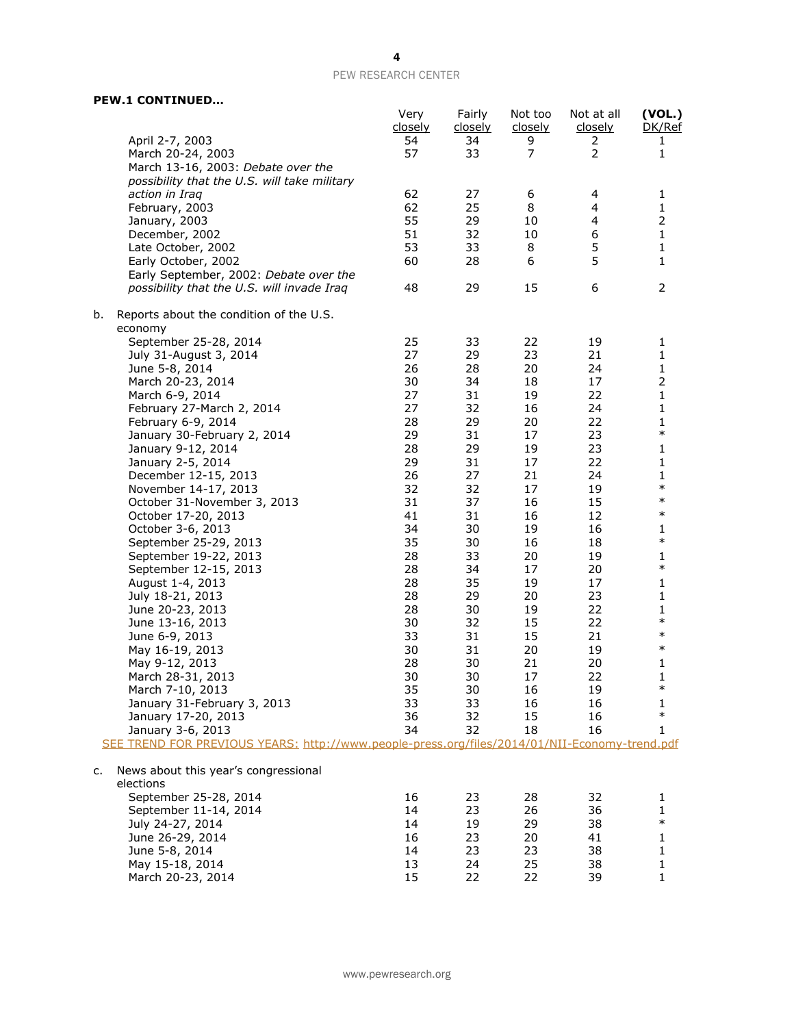| <b>PEW.1 CONTINUED</b> |
|------------------------|
|------------------------|

|                                                                                               | Very<br>closely | Fairly<br><u>closely</u> | Not too<br><u>closely</u> | Not at all<br><u>closely</u> | (VOL.)<br>DK/Ref |
|-----------------------------------------------------------------------------------------------|-----------------|--------------------------|---------------------------|------------------------------|------------------|
| April 2-7, 2003                                                                               | 54              | 34                       | 9                         | 2                            | 1                |
| March 20-24, 2003                                                                             | 57              | 33                       | 7                         | $\overline{2}$               | 1                |
| March 13-16, 2003: Debate over the                                                            |                 |                          |                           |                              |                  |
| possibility that the U.S. will take military                                                  |                 |                          |                           |                              |                  |
| action in Iraq                                                                                | 62              | 27                       | 6                         | 4                            | 1                |
| February, 2003                                                                                | 62              | 25                       | 8                         | 4                            | 1                |
| January, 2003                                                                                 | 55              | 29                       | 10                        | 4                            | 2                |
| December, 2002                                                                                | 51              | 32                       | 10                        | 6                            | $\mathbf{1}$     |
| Late October, 2002                                                                            | 53              | 33                       | 8                         | 5                            | 1                |
| Early October, 2002                                                                           | 60              | 28                       | 6                         | 5                            | 1                |
| Early September, 2002: Debate over the                                                        |                 |                          |                           |                              |                  |
| possibility that the U.S. will invade Iraq                                                    | 48              | 29                       | 15                        | 6                            | 2                |
| Reports about the condition of the U.S.<br>b.                                                 |                 |                          |                           |                              |                  |
| economy                                                                                       | 25              |                          |                           |                              |                  |
| September 25-28, 2014                                                                         | 27              | 33<br>29                 | 22<br>23                  | 19<br>21                     | 1                |
| July 31-August 3, 2014                                                                        | 26              | 28                       | 20                        | 24                           | 1<br>1           |
| June 5-8, 2014                                                                                | 30              | 34                       | 18                        | 17                           | $\overline{2}$   |
| March 20-23, 2014<br>March 6-9, 2014                                                          | 27              | 31                       | 19                        | 22                           | 1                |
| February 27-March 2, 2014                                                                     | 27              | 32                       | 16                        | 24                           | 1                |
| February 6-9, 2014                                                                            | 28              | 29                       | 20                        | 22                           | 1                |
| January 30-February 2, 2014                                                                   | 29              | 31                       | 17                        | 23                           | $\ast$           |
| January 9-12, 2014                                                                            | 28              | 29                       | 19                        | 23                           | 1                |
| January 2-5, 2014                                                                             | 29              | 31                       | 17                        | 22                           | 1                |
| December 12-15, 2013                                                                          | 26              | 27                       | 21                        | 24                           | 1                |
| November 14-17, 2013                                                                          | 32              | 32                       | 17                        | 19                           | $\ast$           |
| October 31-November 3, 2013                                                                   | 31              | 37                       | 16                        | 15                           | $\ast$           |
| October 17-20, 2013                                                                           | 41              | 31                       | 16                        | 12                           | $\ast$           |
| October 3-6, 2013                                                                             | 34              | 30                       | 19                        | 16                           | 1                |
| September 25-29, 2013                                                                         | 35              | 30                       | 16                        | 18                           | $\ast$           |
| September 19-22, 2013                                                                         | 28              | 33                       | 20                        | 19                           | 1                |
| September 12-15, 2013                                                                         | 28              | 34                       | 17                        | 20                           | $\ast$           |
| August 1-4, 2013                                                                              | 28              | 35                       | 19                        | 17                           | 1                |
| July 18-21, 2013                                                                              | 28              | 29                       | 20                        | 23                           | 1                |
| June 20-23, 2013                                                                              | 28              | 30                       | 19                        | 22                           | 1                |
| June 13-16, 2013                                                                              | 30              | 32                       | 15                        | 22                           | $\ast$           |
| June 6-9, 2013                                                                                | 33              | 31                       | 15                        | 21                           | $\ast$           |
| May 16-19, 2013                                                                               | 30              | 31                       | 20                        | 19                           | $\ast$           |
| May 9-12, 2013                                                                                | 28              | 30                       | 21                        | 20                           | 1                |
| March 28-31, 2013                                                                             | 30              | 30                       | 17                        | 22                           | 1                |
| March 7-10, 2013                                                                              | 35              | 30                       | 16                        | 19                           | $\ast$           |
| January 31-February 3, 2013                                                                   | 33              | 33                       | 16                        | 16                           | 1                |
| January 17-20, 2013                                                                           | 36              | 32                       | 15                        | 16                           | $\ast$           |
| January 3-6, 2013                                                                             | 34              | 32                       | 18                        | 16                           | 1                |
| SEE TREND FOR PREVIOUS YEARS: http://www.people-press.org/files/2014/01/NII-Economy-trend.pdf |                 |                          |                           |                              |                  |
| News about this year's congressional<br>c.                                                    |                 |                          |                           |                              |                  |
| elections                                                                                     |                 |                          |                           |                              |                  |
| September 25-28, 2014                                                                         | 16              | 23                       | 28                        | 32                           | 1                |
| September 11-14, 2014                                                                         | 14              | 23                       | 26                        | 36                           | 1                |
| July 24-27, 2014                                                                              | 14              | 19                       | 29                        | 38                           | $\ast$           |
| June 26-29, 2014                                                                              | 16              | 23                       | 20                        | 41                           | 1                |
| June 5-8, 2014                                                                                | 14              | 23                       | 23                        | 38                           | 1                |
| May 15-18, 2014                                                                               | 13              | 24                       | 25                        | 38                           | 1                |
| March 20-23, 2014                                                                             | 15              | 22                       | 22                        | 39                           | 1                |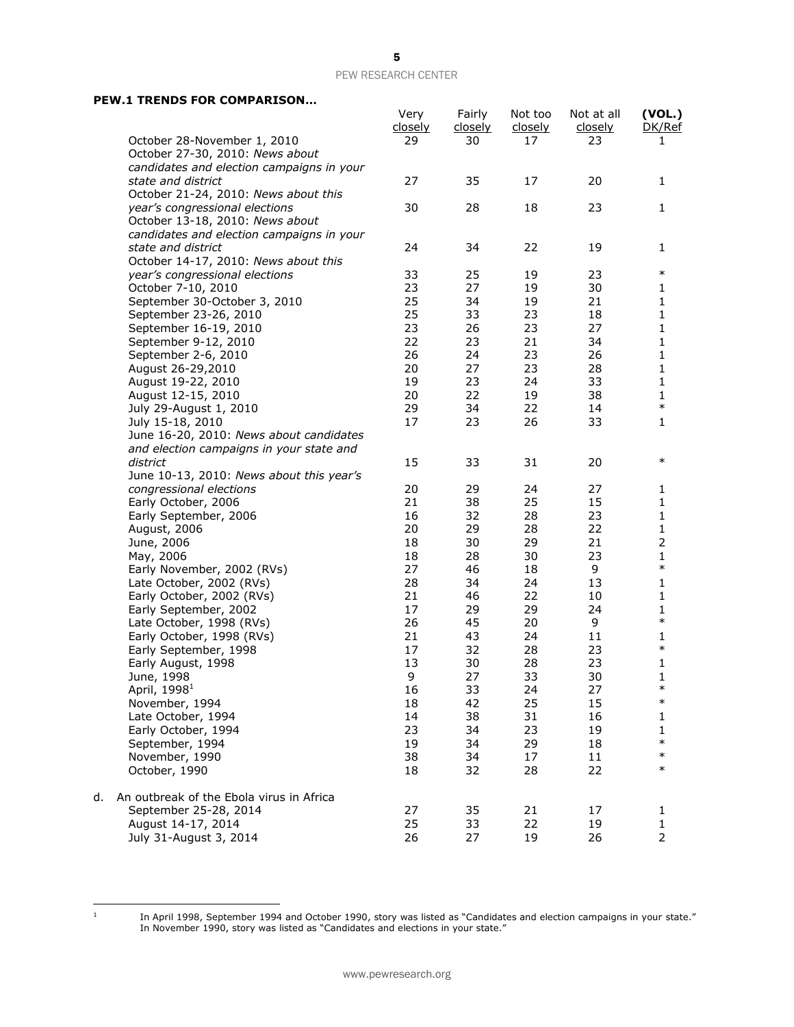### **PEW.1 TRENDS FOR COMPARISON…**

|    |                                                                   | Very<br>closely | Fairly<br><u>closely</u> | Not too<br>closely | Not at all<br>closely | (VOL.)<br>DK/Ref       |
|----|-------------------------------------------------------------------|-----------------|--------------------------|--------------------|-----------------------|------------------------|
|    | October 28-November 1, 2010                                       | 29              | 30                       | 17                 | 23                    | 1                      |
|    | October 27-30, 2010: News about                                   |                 |                          |                    |                       |                        |
|    | candidates and election campaigns in your                         |                 |                          |                    |                       |                        |
|    | state and district                                                | 27              | 35                       | 17                 | 20                    | 1                      |
|    | October 21-24, 2010: News about this                              |                 |                          |                    |                       |                        |
|    | year's congressional elections                                    | 30              | 28                       | 18                 | 23                    | 1                      |
|    | October 13-18, 2010: News about                                   |                 |                          |                    |                       |                        |
|    | candidates and election campaigns in your                         |                 |                          |                    |                       |                        |
|    | state and district                                                | 24              | 34                       | 22                 | 19                    | 1                      |
|    | October 14-17, 2010: News about this                              |                 |                          |                    |                       |                        |
|    | year's congressional elections                                    | 33              | 25                       | 19                 | 23                    | $\ast$                 |
|    | October 7-10, 2010                                                | 23              | 27                       | 19                 | 30                    | 1                      |
|    | September 30-October 3, 2010                                      | 25              | 34                       | 19                 | 21                    | 1                      |
|    | September 23-26, 2010                                             | 25              | 33                       | 23                 | 18                    | 1                      |
|    | September 16-19, 2010                                             | 23              | 26                       | 23                 | 27                    | $\mathbf{1}$           |
|    | September 9-12, 2010                                              | 22              | 23                       | 21                 | 34                    | 1                      |
|    | September 2-6, 2010                                               | 26              | 24                       | 23                 | 26                    | 1                      |
|    | August 26-29,2010                                                 | 20              | 27                       | 23                 | 28                    | 1                      |
|    | August 19-22, 2010                                                | 19              | 23                       | 24                 | 33                    | $\mathbf{1}$           |
|    | August 12-15, 2010                                                | 20              | 22                       | 19                 | 38                    | 1                      |
|    | July 29-August 1, 2010                                            | 29              | 34                       | 22                 | 14                    | $\ast$                 |
|    | July 15-18, 2010                                                  | 17              | 23                       | 26                 | 33                    | 1                      |
|    | June 16-20, 2010: News about candidates                           |                 |                          |                    |                       |                        |
|    | and election campaigns in your state and                          |                 |                          |                    |                       |                        |
|    | district                                                          | 15              | 33                       | 31                 | 20                    | $\ast$                 |
|    | June 10-13, 2010: News about this year's                          |                 |                          |                    |                       |                        |
|    | congressional elections                                           | 20              | 29                       | 24                 | 27                    | 1                      |
|    | Early October, 2006                                               | 21              | 38                       | 25                 | 15                    | 1                      |
|    | Early September, 2006                                             | 16              | 32                       | 28                 | 23                    | $\mathbf{1}$           |
|    | August, 2006                                                      | 20              | 29                       | 28                 | 22                    | 1                      |
|    | June, 2006                                                        | 18              | 30                       | 29                 | 21                    | $\overline{2}$         |
|    | May, 2006                                                         | 18              | 28                       | 30                 | 23                    | $\mathbf{1}$<br>$\ast$ |
|    | Early November, 2002 (RVs)                                        | 27              | 46                       | 18                 | 9                     |                        |
|    | Late October, 2002 (RVs)                                          | 28              | 34                       | 24                 | 13                    | 1                      |
|    | Early October, 2002 (RVs)                                         | 21              | 46                       | 22                 | 10                    | 1                      |
|    | Early September, 2002                                             | 17              | 29                       | 29                 | 24                    | 1<br>$\ast$            |
|    | Late October, 1998 (RVs)                                          | 26              | 45                       | 20                 | 9                     |                        |
|    | Early October, 1998 (RVs)                                         | 21              | 43                       | 24                 | 11                    | 1<br>$\ast$            |
|    | Early September, 1998                                             | 17              | 32                       | 28                 | 23                    |                        |
|    | Early August, 1998                                                | 13<br>9         | 30                       | 28<br>33           | 23                    | 1                      |
|    | June, 1998                                                        | 16              | 27<br>33                 | 24                 | 30<br>27              | 1<br>$\ast$            |
|    | April, 1998 <sup>1</sup><br>November, 1994                        |                 |                          | 25                 |                       | $\ast$                 |
|    | Late October, 1994                                                | 18<br>14        | 42<br>38                 | 31                 | 15<br>16              |                        |
|    | Early October, 1994                                               | 23              | 34                       | 23                 | 19                    | 1<br>1                 |
|    | September, 1994                                                   | 19              | 34                       | 29                 | 18                    | $\ast$                 |
|    | November, 1990                                                    | 38              | 34                       | 17                 | 11                    | $\ast$                 |
|    | October, 1990                                                     | 18              | 32                       | 28                 | 22                    | $\ast$                 |
|    |                                                                   |                 |                          |                    |                       |                        |
| d. | An outbreak of the Ebola virus in Africa<br>September 25-28, 2014 | 27              | 35                       | 21                 | 17                    |                        |
|    | August 14-17, 2014                                                | 25              | 33                       | 22                 | 19                    | 1<br>1                 |
|    | July 31-August 3, 2014                                            | 26              | 27                       | 19                 | 26                    | $\overline{2}$         |
|    |                                                                   |                 |                          |                    |                       |                        |

 $\frac{1}{1}$ 

In April 1998, September 1994 and October 1990, story was listed as "Candidates and election campaigns in your state." In November 1990, story was listed as "Candidates and elections in your state."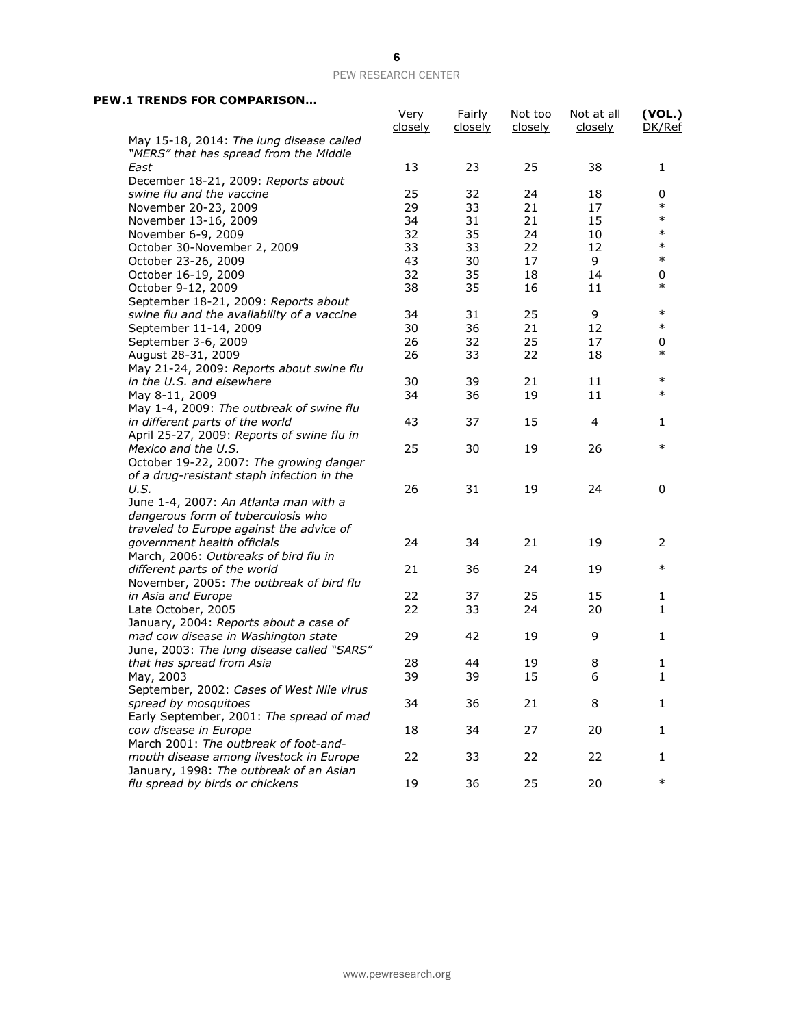# 6

### PEW RESEARCH CENTER

## **PEW.1 TRENDS FOR COMPARISON…**

|                                                                                    | Very<br><u>closely</u> | Fairly<br><u>closely</u> | Not too<br><u>closely</u> | Not at all<br><u>closely</u> | (VOL.)<br>DK/Ref |
|------------------------------------------------------------------------------------|------------------------|--------------------------|---------------------------|------------------------------|------------------|
| May 15-18, 2014: The lung disease called<br>"MERS" that has spread from the Middle |                        |                          |                           |                              |                  |
| East                                                                               | 13                     | 23                       | 25                        | 38                           | 1                |
| December 18-21, 2009: Reports about                                                |                        |                          |                           |                              |                  |
| swine flu and the vaccine                                                          | 25                     | 32                       | 24                        | 18                           | 0                |
| November 20-23, 2009                                                               | 29                     | 33                       | 21                        | 17                           | $\ast$           |
| November 13-16, 2009                                                               | 34                     | 31                       | 21                        | 15                           | $\ast$           |
| November 6-9, 2009                                                                 | 32                     | 35                       | 24                        | 10                           | $\ast$           |
| October 30-November 2, 2009                                                        | 33                     | 33                       | 22                        | 12                           | $\ast$           |
| October 23-26, 2009                                                                | 43                     | 30                       | 17                        | 9                            | $\ast$           |
| October 16-19, 2009                                                                | 32                     | 35                       | 18                        | 14                           | 0                |
| October 9-12, 2009                                                                 | 38                     | 35                       | 16                        | 11                           | $\ast$           |
| September 18-21, 2009: Reports about                                               |                        |                          |                           |                              |                  |
| swine flu and the availability of a vaccine                                        | 34                     | 31                       | 25                        | 9                            | $\ast$           |
| September 11-14, 2009                                                              | 30                     | 36                       | 21                        | 12                           | $\ast$           |
| September 3-6, 2009                                                                | 26                     | 32                       | 25                        | 17                           | 0                |
| August 28-31, 2009                                                                 | 26                     | 33                       | 22                        | 18                           | $\ast$           |
| May 21-24, 2009: Reports about swine flu                                           |                        |                          |                           |                              |                  |
| in the U.S. and elsewhere                                                          | 30                     | 39                       | 21                        | 11                           | $\ast$           |
| May 8-11, 2009                                                                     | 34                     | 36                       | 19                        | 11                           | $\ast$           |
| May 1-4, 2009: The outbreak of swine flu                                           |                        |                          |                           |                              |                  |
| in different parts of the world                                                    | 43                     | 37                       | 15                        | 4                            | 1                |
| April 25-27, 2009: Reports of swine flu in                                         |                        |                          |                           |                              |                  |
| Mexico and the U.S.                                                                | 25                     | 30                       | 19                        | 26                           | $\ast$           |
| October 19-22, 2007: The growing danger                                            |                        |                          |                           |                              |                  |
| of a drug-resistant staph infection in the                                         |                        |                          |                           |                              |                  |
| U.S.                                                                               | 26                     | 31                       | 19                        | 24                           | 0                |
| June 1-4, 2007: An Atlanta man with a                                              |                        |                          |                           |                              |                  |
| dangerous form of tuberculosis who                                                 |                        |                          |                           |                              |                  |
| traveled to Europe against the advice of                                           |                        |                          |                           |                              |                  |
| government health officials                                                        | 24                     | 34                       | 21                        | 19                           | 2                |
| March, 2006: Outbreaks of bird flu in                                              |                        |                          |                           |                              |                  |
| different parts of the world                                                       | 21                     | 36                       | 24                        | 19                           | $\ast$           |
| November, 2005: The outbreak of bird flu                                           |                        |                          |                           |                              |                  |
| in Asia and Europe                                                                 | 22                     | 37                       | 25                        | 15                           | 1                |
| Late October, 2005                                                                 | 22                     | 33                       | 24                        | 20                           | 1                |
| January, 2004: Reports about a case of                                             |                        |                          |                           |                              |                  |
| mad cow disease in Washington state                                                | 29                     | 42                       | 19                        | 9                            | 1                |
| June, 2003: The lung disease called "SARS"                                         |                        |                          |                           |                              |                  |
| that has spread from Asia                                                          | 28                     | 44                       | 19                        | 8                            | 1                |
| May, 2003                                                                          | 39                     | 39                       | 15                        | 6                            | $\mathbf{1}$     |
| September, 2002: Cases of West Nile virus                                          |                        |                          |                           |                              |                  |
| spread by mosquitoes                                                               | 34                     | 36                       | 21                        | 8                            | 1                |
| Early September, 2001: The spread of mad                                           |                        |                          |                           |                              |                  |
| cow disease in Europe                                                              | 18                     | 34                       | 27                        | 20                           | 1                |
| March 2001: The outbreak of foot-and-                                              |                        |                          |                           |                              |                  |
| mouth disease among livestock in Europe                                            | 22                     | 33                       | 22                        | 22                           | 1                |
| January, 1998: The outbreak of an Asian                                            |                        |                          |                           |                              |                  |
| flu spread by birds or chickens                                                    | 19                     | 36                       | 25                        | 20                           | $\ast$           |
|                                                                                    |                        |                          |                           |                              |                  |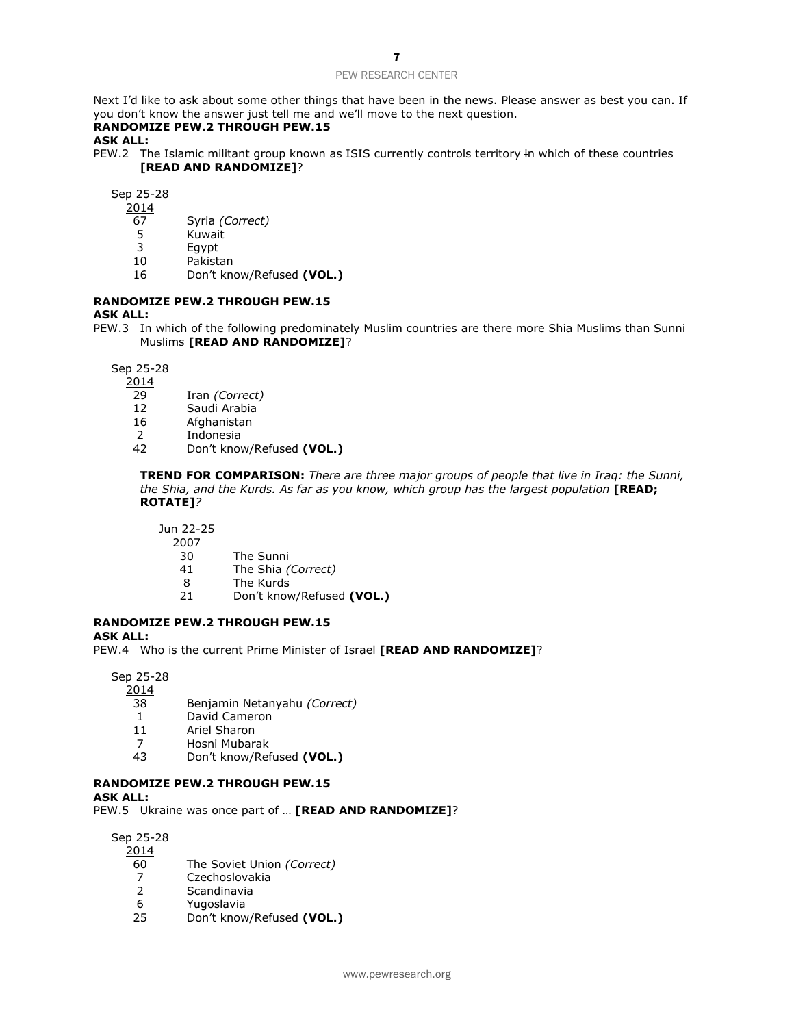Next I'd like to ask about some other things that have been in the news. Please answer as best you can. If you don't know the answer just tell me and we'll move to the next question.

# **RANDOMIZE PEW.2 THROUGH PEW.15**

**ASK ALL:**

PEW.2 The Islamic militant group known as ISIS currently controls territory in which of these countries **[READ AND RANDOMIZE]**?

Sep 25-28

- 2014
- 67 Syria *(Correct)*
- **Kuwait**
- 3 Egypt
- 10 Pakistan
- 16 Don't know/Refused **(VOL.)**

### **RANDOMIZE PEW.2 THROUGH PEW.15**

#### **ASK ALL:**

PEW.3 In which of the following predominately Muslim countries are there more Shia Muslims than Sunni Muslims **[READ AND RANDOMIZE]**?

Sep 25-28

2014

- 29 Iran *(Correct)*
- 12 Saudi Arabia
- 16 Afghanistan
- 2 Indonesia
- 42 Don't know/Refused **(VOL.)**

**TREND FOR COMPARISON:** *There are three major groups of people that live in Iraq: the Sunni, the Shia, and the Kurds. As far as you know, which group has the largest population* [READ; **ROTATE]***?*

Jun 22-25

- $\frac{2007}{30}$ 
	- The Sunni
- 41 The Shia *(Correct)*
- 8 The Kurds
- 21 Don't know/Refused **(VOL.)**

## **RANDOMIZE PEW.2 THROUGH PEW.15**

**ASK ALL:**

PEW.4 Who is the current Prime Minister of Israel **[READ AND RANDOMIZE]**?

Sep 25-28

2014

- 38 Benjamin Netanyahu *(Correct)*
- 1 David Cameron
- 11 Ariel Sharon
- 7 Hosni Mubarak
- 43 Don't know/Refused **(VOL.)**

### **RANDOMIZE PEW.2 THROUGH PEW.15**

**ASK ALL:**

PEW.5 Ukraine was once part of … **[READ AND RANDOMIZE]**?

Sep 25-28

2014

- 60 The Soviet Union *(Correct)*
- 7 Czechoslovakia<br>2 Scandinavia
- **Scandinavia**
- 6 Yugoslavia
- 25 Don't know/Refused **(VOL.)**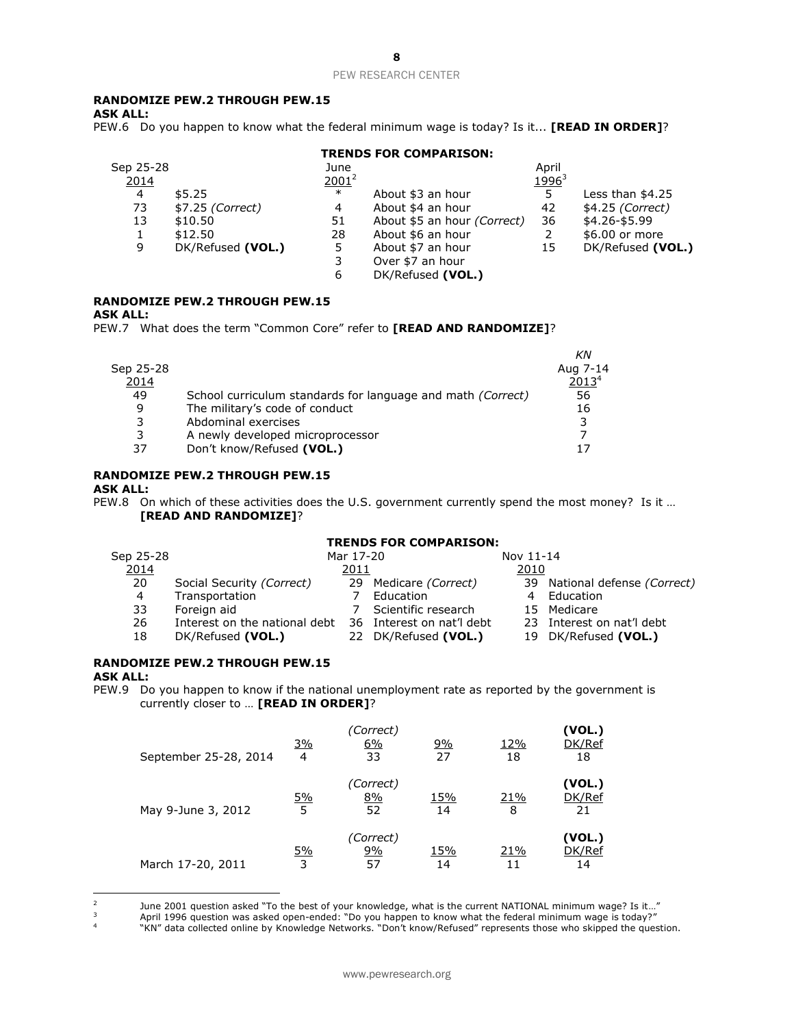### 8

#### PEW RESEARCH CENTER

## **RANDOMIZE PEW.2 THROUGH PEW.15**

**ASK ALL:**

PEW.6 Do you happen to know what the federal minimum wage is today? Is it... **[READ IN ORDER]**?

#### **TRENDS FOR COMPARISON:**

| Sep 25-28 |                   | June     |                             | April                    |                   |
|-----------|-------------------|----------|-----------------------------|--------------------------|-------------------|
| 2014      |                   | $2001^2$ |                             | <u>1996</u> <sup>3</sup> |                   |
| 4         | \$5.25            | $\ast$   | About \$3 an hour           | 5                        | Less than $$4.25$ |
| 73        | \$7.25 (Correct)  | 4        | About \$4 an hour           | 42                       | \$4.25 (Correct)  |
| 13        | \$10.50           | 51       | About \$5 an hour (Correct) | 36                       | \$4.26-\$5.99     |
|           | \$12.50           | 28       | About \$6 an hour           | 2                        | \$6.00 or more    |
| 9         | DK/Refused (VOL.) | 5        | About \$7 an hour           | 15                       | DK/Refused (VOL.) |
|           |                   |          | Over \$7 an hour            |                          |                   |
|           |                   | 6        | DK/Refused (VOL.)           |                          |                   |
|           |                   |          |                             |                          |                   |

### **RANDOMIZE PEW.2 THROUGH PEW.15**

#### **ASK ALL:**

PEW.7 What does the term "Common Core" refer to **[READ AND RANDOMIZE]**?

|           |                                                                    | ΚN                |
|-----------|--------------------------------------------------------------------|-------------------|
| Sep 25-28 |                                                                    | Aug 7-14          |
| 2014      |                                                                    | 2013 <sup>4</sup> |
| 49        | School curriculum standards for language and math <i>(Correct)</i> | 56                |
| 9         | The military's code of conduct                                     | 16                |
| 3         | Abdominal exercises                                                |                   |
| 3         | A newly developed microprocessor                                   |                   |
| 37        | Don't know/Refused (VOL.)                                          |                   |
|           |                                                                    |                   |

## **RANDOMIZE PEW.2 THROUGH PEW.15**

#### **ASK ALL:**

PEW.8 On which of these activities does the U.S. government currently spend the most money? Is it … **[READ AND RANDOMIZE]**?

## **TRENDS FOR COMPARISON:**

| Sep 25-28 |                               | Mar 17-20 |                           | Nov 11-14 |                               |
|-----------|-------------------------------|-----------|---------------------------|-----------|-------------------------------|
| 2014      |                               | 2011      |                           | 2010      |                               |
| 20        | Social Security (Correct)     |           | 29 Medicare (Correct)     |           | 39 National defense (Correct) |
| 4         | Transportation                |           | Education                 |           | Education                     |
| 33        | Foreign aid                   |           | Scientific research       |           | 15 Medicare                   |
| 26        | Interest on the national debt |           | 36 Interest on nat'l debt |           | 23 Interest on nat'l debt     |
| 18        | DK/Refused (VOL.)             |           | 22 DK/Refused (VOL.)      |           | 19 DK/Refused (VOL.)          |

# **RANDOMIZE PEW.2 THROUGH PEW.15**

#### **ASK ALL:**

PEW.9 Do you happen to know if the national unemployment rate as reported by the government is currently closer to … **[READ IN ORDER]**?

| September 25-28, 2014 | <u>3%</u><br>$\overline{4}$ | 'Correct)<br>6%<br>33 | <u>9%</u><br>27 | 12%<br>18 | (VOL.)<br>DK/Ref<br>18 |
|-----------------------|-----------------------------|-----------------------|-----------------|-----------|------------------------|
| May 9-June 3, 2012    | <u>5%</u><br>5              | (Correct)<br>8%<br>52 | 15%<br>14       | 21%<br>8  | (VOL.)<br>DK/Ref<br>21 |
| March 17-20, 2011     | <u>5%</u><br>3              | (Correct)<br>9%<br>57 | 15%<br>14       | 21%       | (VOL.)<br>DK/Ref<br>14 |

 $\frac{1}{2}$ June 2001 question asked "To the best of your knowledge, what is the current NATIONAL minimum wage? Is it…"

<sup>3</sup> April 1996 question was asked open-ended: "Do you happen to know what the federal minimum wage is today?"

4 "KN" data collected online by Knowledge Networks. "Don't know/Refused" represents those who skipped the question.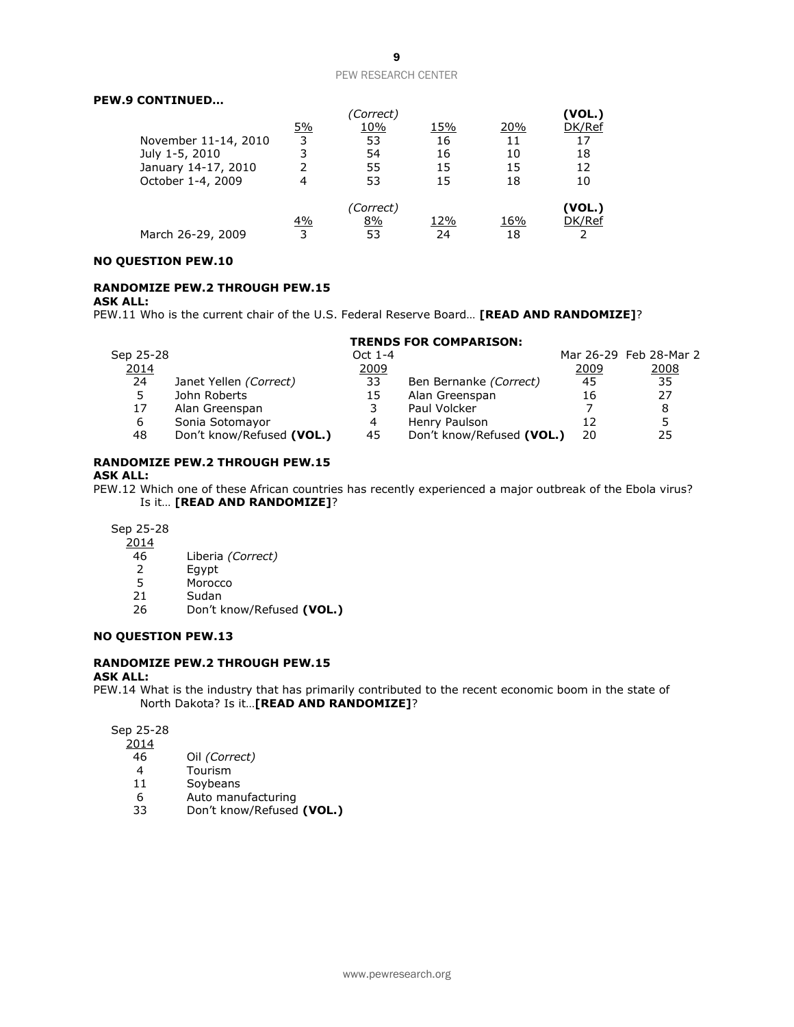### **PEW.9 CONTINUED…**

|                      |           | 'Correct) |     |     | (VOL.) |
|----------------------|-----------|-----------|-----|-----|--------|
|                      | <u>5%</u> | 10%       | 15% | 20% | DK/Ref |
| November 11-14, 2010 | 3         | 53        | 16  | 11  | 17     |
| July 1-5, 2010       | 3         | 54        | 16  | 10  | 18     |
| January 14-17, 2010  | 2         | 55        | 15  | 15  | 12     |
| October 1-4, 2009    | 4         | 53        | 15  | 18  | 10     |
|                      |           | (Correct) |     |     | (VOL.) |
|                      | <u>4%</u> | 8%        | 12% | 16% | DK/Ref |
| March 26-29, 2009    | 3         | 53        | 24  | 18  |        |

#### **NO QUESTION PEW.10**

# **RANDOMIZE PEW.2 THROUGH PEW.15**

#### **ASK ALL:**

PEW.11 Who is the current chair of the U.S. Federal Reserve Board… **[READ AND RANDOMIZE]**?

#### **TRENDS FOR COMPARISON:**

| Sep 25-28 |                           | Oct 1-4 |                           |      | Mar 26-29 Feb 28-Mar 2 |
|-----------|---------------------------|---------|---------------------------|------|------------------------|
| 2014      |                           | 2009    |                           | 2009 | <u>2008</u>            |
| 24        | Janet Yellen (Correct)    | 33      | Ben Bernanke (Correct)    | 45   | 35                     |
|           | John Roberts              | 15      | Alan Greenspan            | 16   | 27                     |
| 17        | Alan Greenspan            |         | Paul Volcker              |      | 8                      |
| 6         | Sonia Sotomayor           |         | Henry Paulson             |      | 5                      |
| 48        | Don't know/Refused (VOL.) | 45      | Don't know/Refused (VOL.) | 20   | 25                     |

## **RANDOMIZE PEW.2 THROUGH PEW.15**

## **ASK ALL:**

PEW.12 Which one of these African countries has recently experienced a major outbreak of the Ebola virus? Is it… **[READ AND RANDOMIZE]**?

### Sep 25-28

 $\frac{2014}{46}$ 

- 46 Liberia *(Correct)*
- 2 Egypt
- 5 Morocco
- 21 Sudan
- 26 Don't know/Refused **(VOL.)**

### **NO QUESTION PEW.13**

# **RANDOMIZE PEW.2 THROUGH PEW.15**

#### **ASK ALL:**

PEW.14 What is the industry that has primarily contributed to the recent economic boom in the state of North Dakota? Is it…**[READ AND RANDOMIZE]**?

Sep 25-28

- 2014
- 46 Oil *(Correct)*
- 4 Tourism<br>11 Soybean
- **Soybeans**
- 6 Auto manufacturing
- 33 Don't know/Refused **(VOL.)**